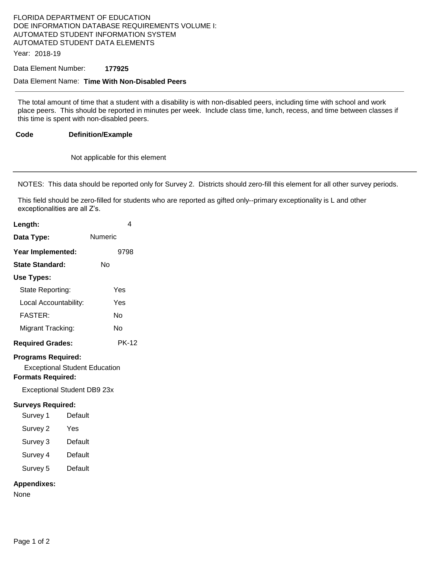# FLORIDA DEPARTMENT OF EDUCATION DOE INFORMATION DATABASE REQUIREMENTS VOLUME I: AUTOMATED STUDENT INFORMATION SYSTEM AUTOMATED STUDENT DATA ELEMENTS

Year: 2018-19

Data Element Number: **177925** 

#### Data Element Name: **Time With Non-Disabled Peers**

The total amount of time that a student with a disability is with non-disabled peers, including time with school and work place peers. This should be reported in minutes per week. Include class time, lunch, recess, and time between classes if this time is spent with non-disabled peers.

#### **Code Definition/Example**

Not applicable for this element

NOTES: This data should be reported only for Survey 2. Districts should zero-fill this element for all other survey periods.

This field should be zero-filled for students who are reported as gifted only--primary exceptionality is L and other exceptionalities are all Z's.

| Length:                                               | 4                                                                          |
|-------------------------------------------------------|----------------------------------------------------------------------------|
| Data Type:                                            | Numeric                                                                    |
| Year Implemented:                                     | 9798                                                                       |
| <b>State Standard:</b>                                | Nο                                                                         |
| <b>Use Types:</b>                                     |                                                                            |
| State Reporting:                                      | Yes                                                                        |
| Local Accountability:                                 | Yes                                                                        |
| <b>FASTER:</b>                                        | No                                                                         |
| Migrant Tracking:                                     | No                                                                         |
| <b>Required Grades:</b>                               | <b>PK-12</b>                                                               |
| <b>Programs Required:</b><br><b>Formats Required:</b> | <b>Exceptional Student Education</b><br><b>Exceptional Student DB9 23x</b> |
| <b>Surveys Required:</b>                              |                                                                            |
| Survey 1                                              | Default                                                                    |
| Survey 2                                              | Yes                                                                        |
| Survey 3                                              | Default                                                                    |
| Survey 4                                              | Default                                                                    |
| Survey 5                                              | Default                                                                    |
| <b>Appendixes:</b><br>None                            |                                                                            |